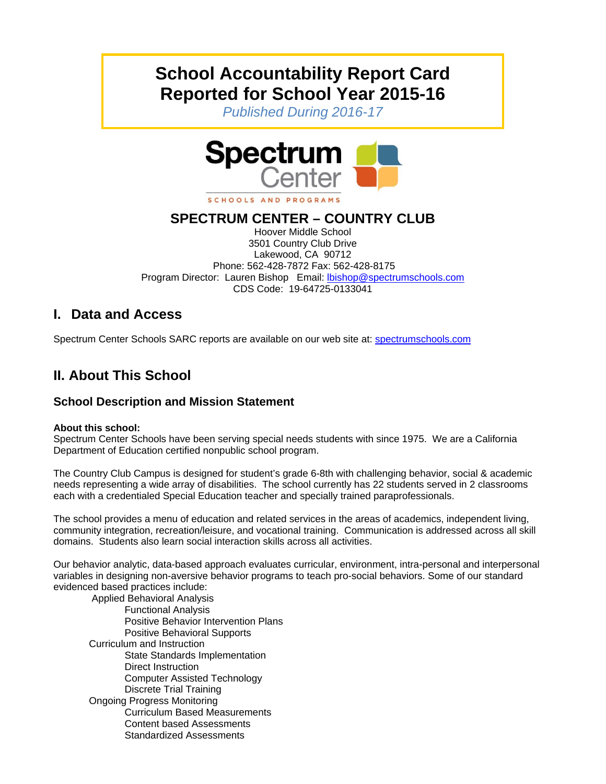# **School Accountability Report Card Reported for School Year 2015-16**

*Published During 2016-17* 



SCHOOLS AND PROGRAMS

# **SPECTRUM CENTER – COUNTRY CLUB**

Hoover Middle School 3501 Country Club Drive Lakewood, CA 90712 Phone: 562-428-7872 Fax: 562-428-8175 Program Director: Lauren Bishop Email: lbishop@spectrumschools.com CDS Code: 19-64725-0133041

# **I. Data and Access**

Spectrum Center Schools SARC reports are available on our web site at: spectrumschools.com

# **II. About This School**

### **School Description and Mission Statement**

#### **About this school:**

Spectrum Center Schools have been serving special needs students with since 1975. We are a California Department of Education certified nonpublic school program.

The Country Club Campus is designed for student's grade 6-8th with challenging behavior, social & academic needs representing a wide array of disabilities. The school currently has 22 students served in 2 classrooms each with a credentialed Special Education teacher and specially trained paraprofessionals.

The school provides a menu of education and related services in the areas of academics, independent living, community integration, recreation/leisure, and vocational training. Communication is addressed across all skill domains. Students also learn social interaction skills across all activities.

Our behavior analytic, data-based approach evaluates curricular, environment, intra-personal and interpersonal variables in designing non-aversive behavior programs to teach pro-social behaviors. Some of our standard evidenced based practices include:

 Applied Behavioral Analysis Functional Analysis Positive Behavior Intervention Plans Positive Behavioral Supports Curriculum and Instruction State Standards Implementation Direct Instruction Computer Assisted Technology Discrete Trial Training Ongoing Progress Monitoring Curriculum Based Measurements Content based Assessments Standardized Assessments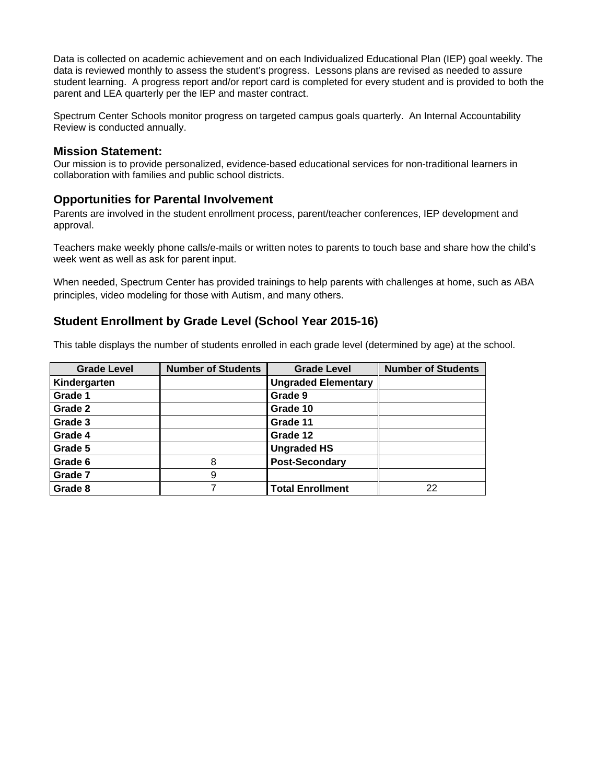Data is collected on academic achievement and on each Individualized Educational Plan (IEP) goal weekly. The data is reviewed monthly to assess the student's progress. Lessons plans are revised as needed to assure student learning. A progress report and/or report card is completed for every student and is provided to both the parent and LEA quarterly per the IEP and master contract.

Spectrum Center Schools monitor progress on targeted campus goals quarterly. An Internal Accountability Review is conducted annually.

**Mission Statement:**<br>Our mission is to provide personalized, evidence-based educational services for non-traditional learners in collaboration with families and public school districts.

#### **Opportunities for Parental Involvement**

Parents are involved in the student enrollment process, parent/teacher conferences, IEP development and approval.

Teachers make weekly phone calls/e-mails or written notes to parents to touch base and share how the child's week went as well as ask for parent input.

When needed, Spectrum Center has provided trainings to help parents with challenges at home, such as ABA principles, video modeling for those with Autism, and many others.

#### **Student Enrollment by Grade Level (School Year 2015-16)**

This table displays the number of students enrolled in each grade level (determined by age) at the school.

| <b>Grade Level</b> | <b>Number of Students</b> | <b>Grade Level</b>         | <b>Number of Students</b> |
|--------------------|---------------------------|----------------------------|---------------------------|
| Kindergarten       |                           | <b>Ungraded Elementary</b> |                           |
| Grade 1            |                           | Grade 9                    |                           |
| Grade 2            |                           | Grade 10                   |                           |
| Grade 3            |                           | Grade 11                   |                           |
| Grade 4            |                           | Grade 12                   |                           |
| Grade 5            |                           | <b>Ungraded HS</b>         |                           |
| Grade 6            | 8                         | <b>Post-Secondary</b>      |                           |
| Grade 7            | 9                         |                            |                           |
| Grade 8            |                           | <b>Total Enrollment</b>    | 22                        |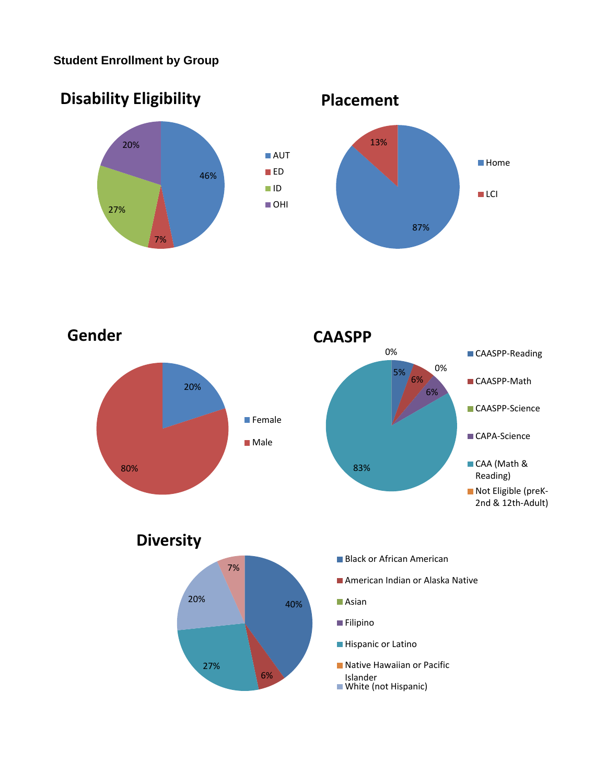# **Student Enrollment by Group**



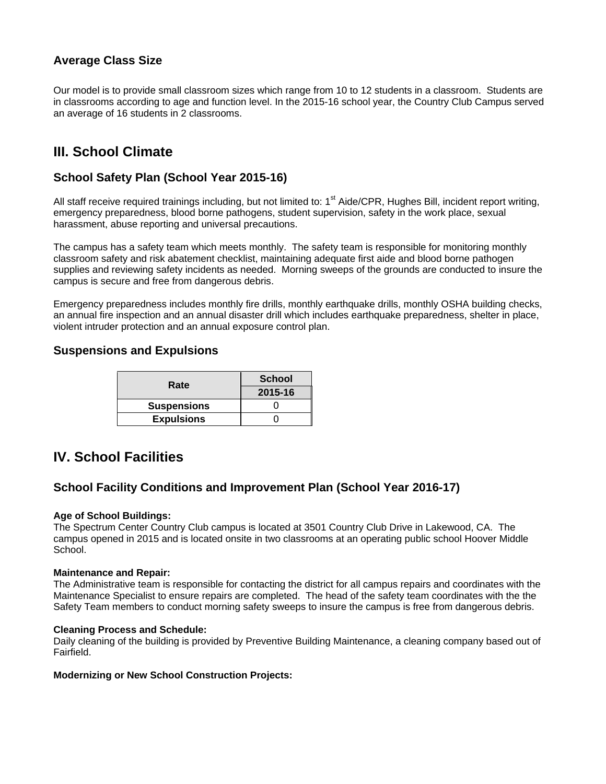### **Average Class Size**

Our model is to provide small classroom sizes which range from 10 to 12 students in a classroom. Students are in classrooms according to age and function level. In the 2015-16 school year, the Country Club Campus served an average of 16 students in 2 classrooms.

# **III. School Climate**

### **School Safety Plan (School Year 2015-16)**

All staff receive required trainings including, but not limited to:  $1<sup>st</sup>$  Aide/CPR, Hughes Bill, incident report writing, emergency preparedness, blood borne pathogens, student supervision, safety in the work place, sexual harassment, abuse reporting and universal precautions.

The campus has a safety team which meets monthly. The safety team is responsible for monitoring monthly classroom safety and risk abatement checklist, maintaining adequate first aide and blood borne pathogen supplies and reviewing safety incidents as needed. Morning sweeps of the grounds are conducted to insure the campus is secure and free from dangerous debris.

Emergency preparedness includes monthly fire drills, monthly earthquake drills, monthly OSHA building checks, an annual fire inspection and an annual disaster drill which includes earthquake preparedness, shelter in place, violent intruder protection and an annual exposure control plan.

#### **Suspensions and Expulsions**

| Rate               | <b>School</b> |  |
|--------------------|---------------|--|
|                    | 2015-16       |  |
| <b>Suspensions</b> |               |  |
| <b>Expulsions</b>  |               |  |

# **IV. School Facilities**

#### **School Facility Conditions and Improvement Plan (School Year 2016-17)**

#### **Age of School Buildings:**

The Spectrum Center Country Club campus is located at 3501 Country Club Drive in Lakewood, CA. The campus opened in 2015 and is located onsite in two classrooms at an operating public school Hoover Middle School.

#### **Maintenance and Repair:**

The Administrative team is responsible for contacting the district for all campus repairs and coordinates with the Maintenance Specialist to ensure repairs are completed. The head of the safety team coordinates with the the Safety Team members to conduct morning safety sweeps to insure the campus is free from dangerous debris.

#### **Cleaning Process and Schedule:**

Daily cleaning of the building is provided by Preventive Building Maintenance, a cleaning company based out of Fairfield.

#### **Modernizing or New School Construction Projects:**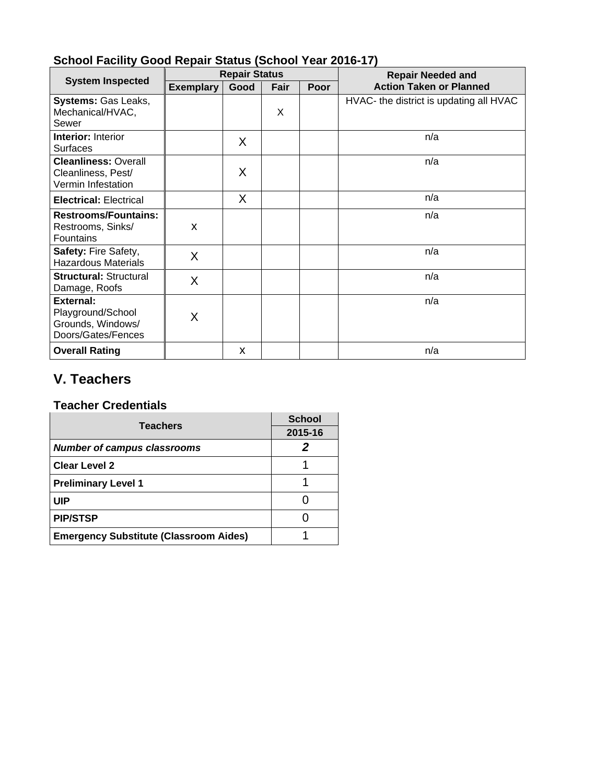|                                                                           | <b>Repair Status</b> |      |      |      | <b>Repair Needed and</b>                |  |
|---------------------------------------------------------------------------|----------------------|------|------|------|-----------------------------------------|--|
| <b>System Inspected</b>                                                   | <b>Exemplary</b>     | Good | Fair | Poor | <b>Action Taken or Planned</b>          |  |
| <b>Systems: Gas Leaks,</b><br>Mechanical/HVAC,<br>Sewer                   |                      |      | X    |      | HVAC- the district is updating all HVAC |  |
| <b>Interior: Interior</b><br><b>Surfaces</b>                              |                      | χ    |      |      | n/a                                     |  |
| <b>Cleanliness: Overall</b><br>Cleanliness, Pest/<br>Vermin Infestation   |                      | χ    |      |      | n/a                                     |  |
| <b>Electrical: Electrical</b>                                             |                      | X    |      |      | n/a                                     |  |
| <b>Restrooms/Fountains:</b><br>Restrooms, Sinks/<br>Fountains             | Χ                    |      |      |      | n/a                                     |  |
| Safety: Fire Safety,<br><b>Hazardous Materials</b>                        | X                    |      |      |      | n/a                                     |  |
| <b>Structural: Structural</b><br>Damage, Roofs                            | X                    |      |      |      | n/a                                     |  |
| External:<br>Playground/School<br>Grounds, Windows/<br>Doors/Gates/Fences | Χ                    |      |      |      | n/a                                     |  |
| <b>Overall Rating</b>                                                     |                      | X    |      |      | n/a                                     |  |

# **School Facility Good Repair Status (School Year 2016-17)**

# **V. Teachers**

### **Teacher Credentials**

| <b>Teachers</b>                               | <b>School</b> |
|-----------------------------------------------|---------------|
|                                               | 2015-16       |
| <b>Number of campus classrooms</b>            |               |
| <b>Clear Level 2</b>                          |               |
| <b>Preliminary Level 1</b>                    |               |
| UIP                                           |               |
| <b>PIP/STSP</b>                               |               |
| <b>Emergency Substitute (Classroom Aides)</b> |               |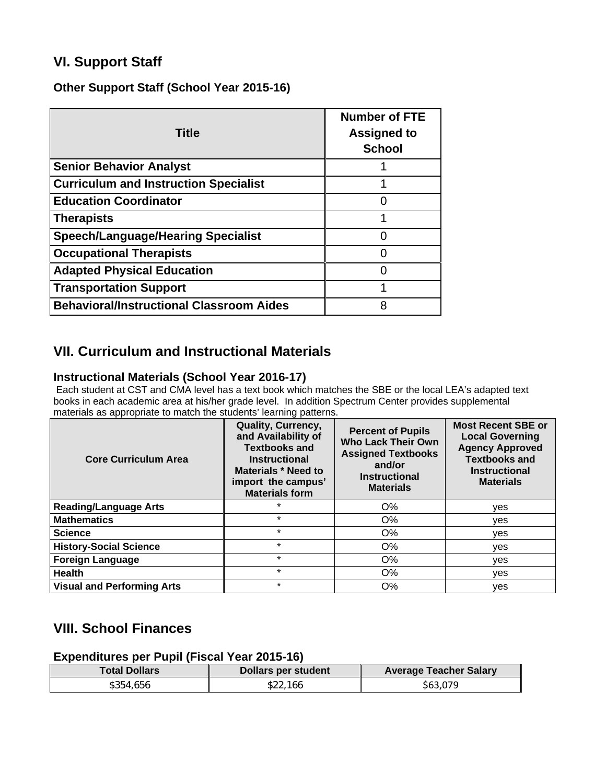# **VI. Support Staff**

**Other Support Staff (School Year 2015-16)** 

| <b>Title</b>                                    | <b>Number of FTE</b><br><b>Assigned to</b><br><b>School</b> |
|-------------------------------------------------|-------------------------------------------------------------|
| <b>Senior Behavior Analyst</b>                  |                                                             |
| <b>Curriculum and Instruction Specialist</b>    |                                                             |
| <b>Education Coordinator</b>                    |                                                             |
| <b>Therapists</b>                               |                                                             |
| <b>Speech/Language/Hearing Specialist</b>       |                                                             |
| <b>Occupational Therapists</b>                  |                                                             |
| <b>Adapted Physical Education</b>               |                                                             |
| <b>Transportation Support</b>                   |                                                             |
| <b>Behavioral/Instructional Classroom Aides</b> | 8                                                           |

# **VII. Curriculum and Instructional Materials**

### **Instructional Materials (School Year 2016-17)**

 Each student at CST and CMA level has a text book which matches the SBE or the local LEA's adapted text books in each academic area at his/her grade level. In addition Spectrum Center provides supplemental materials as appropriate to match the students' learning patterns.

| <b>Core Curriculum Area</b>       | Quality, Currency,<br>and Availability of<br><b>Textbooks and</b><br><b>Instructional</b><br><b>Materials * Need to</b><br>import the campus'<br><b>Materials form</b> | <b>Percent of Pupils</b><br><b>Who Lack Their Own</b><br><b>Assigned Textbooks</b><br>and/or<br><b>Instructional</b><br><b>Materials</b> | <b>Most Recent SBE or</b><br><b>Local Governing</b><br><b>Agency Approved</b><br><b>Textbooks and</b><br><b>Instructional</b><br><b>Materials</b> |
|-----------------------------------|------------------------------------------------------------------------------------------------------------------------------------------------------------------------|------------------------------------------------------------------------------------------------------------------------------------------|---------------------------------------------------------------------------------------------------------------------------------------------------|
| <b>Reading/Language Arts</b>      |                                                                                                                                                                        | $O\%$                                                                                                                                    | yes                                                                                                                                               |
| <b>Mathematics</b>                | $\star$                                                                                                                                                                | O%                                                                                                                                       | yes                                                                                                                                               |
| <b>Science</b>                    | $\star$                                                                                                                                                                | O%                                                                                                                                       | ves                                                                                                                                               |
| <b>History-Social Science</b>     | $\star$                                                                                                                                                                | O%                                                                                                                                       | yes                                                                                                                                               |
| <b>Foreign Language</b>           | $\star$                                                                                                                                                                | O%                                                                                                                                       | yes                                                                                                                                               |
| <b>Health</b>                     | $\star$                                                                                                                                                                | O%                                                                                                                                       | yes                                                                                                                                               |
| <b>Visual and Performing Arts</b> | $\star$                                                                                                                                                                | O%                                                                                                                                       | ves                                                                                                                                               |

# **VIII. School Finances**

**Expenditures per Pupil (Fiscal Year 2015-16)** 

| Total Dollars | Dollars per student | <b>Average Teacher Salary</b> |
|---------------|---------------------|-------------------------------|
| \$354.656     | \$22,166            | \$63,079                      |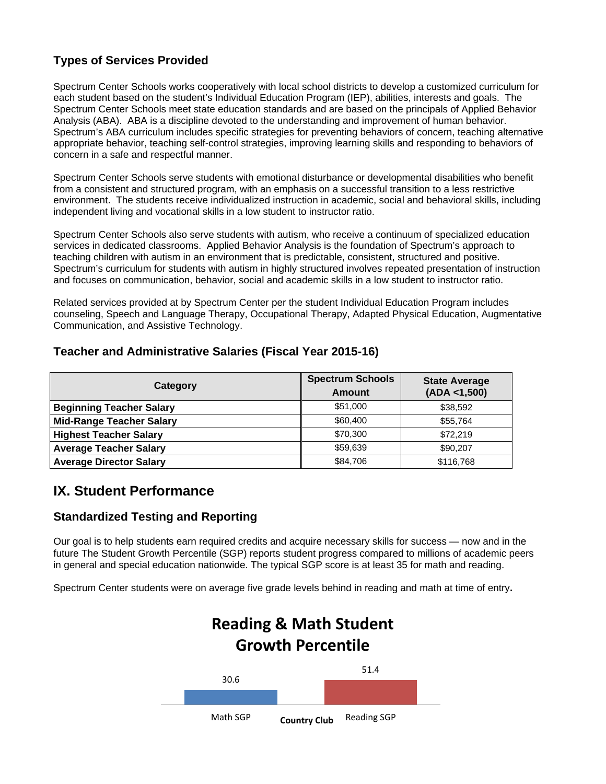### **Types of Services Provided**

Spectrum Center Schools works cooperatively with local school districts to develop a customized curriculum for each student based on the student's Individual Education Program (IEP), abilities, interests and goals. The Spectrum Center Schools meet state education standards and are based on the principals of Applied Behavior Analysis (ABA). ABA is a discipline devoted to the understanding and improvement of human behavior. Spectrum's ABA curriculum includes specific strategies for preventing behaviors of concern, teaching alternative appropriate behavior, teaching self-control strategies, improving learning skills and responding to behaviors of concern in a safe and respectful manner.

Spectrum Center Schools serve students with emotional disturbance or developmental disabilities who benefit from a consistent and structured program, with an emphasis on a successful transition to a less restrictive environment. The students receive individualized instruction in academic, social and behavioral skills, including independent living and vocational skills in a low student to instructor ratio.

Spectrum Center Schools also serve students with autism, who receive a continuum of specialized education services in dedicated classrooms. Applied Behavior Analysis is the foundation of Spectrum's approach to teaching children with autism in an environment that is predictable, consistent, structured and positive. Spectrum's curriculum for students with autism in highly structured involves repeated presentation of instruction and focuses on communication, behavior, social and academic skills in a low student to instructor ratio.

Related services provided at by Spectrum Center per the student Individual Education Program includes counseling, Speech and Language Therapy, Occupational Therapy, Adapted Physical Education, Augmentative Communication, and Assistive Technology.

### **Teacher and Administrative Salaries (Fiscal Year 2015-16)**

| Category                        | <b>Spectrum Schools</b><br>Amount | <b>State Average</b><br>(ADA < 1,500) |
|---------------------------------|-----------------------------------|---------------------------------------|
| <b>Beginning Teacher Salary</b> | \$51,000                          | \$38,592                              |
| <b>Mid-Range Teacher Salary</b> | \$60,400                          | \$55,764                              |
| <b>Highest Teacher Salary</b>   | \$70,300                          | \$72.219                              |
| <b>Average Teacher Salary</b>   | \$59.639                          | \$90,207                              |
| <b>Average Director Salary</b>  | \$84,706                          | \$116,768                             |

# **IX. Student Performance**

### **Standardized Testing and Reporting**

Our goal is to help students earn required credits and acquire necessary skills for success — now and in the future The Student Growth Percentile (SGP) reports student progress compared to millions of academic peers in general and special education nationwide. The typical SGP score is at least 35 for math and reading.

Spectrum Center students were on average five grade levels behind in reading and math at time of entry**.** 

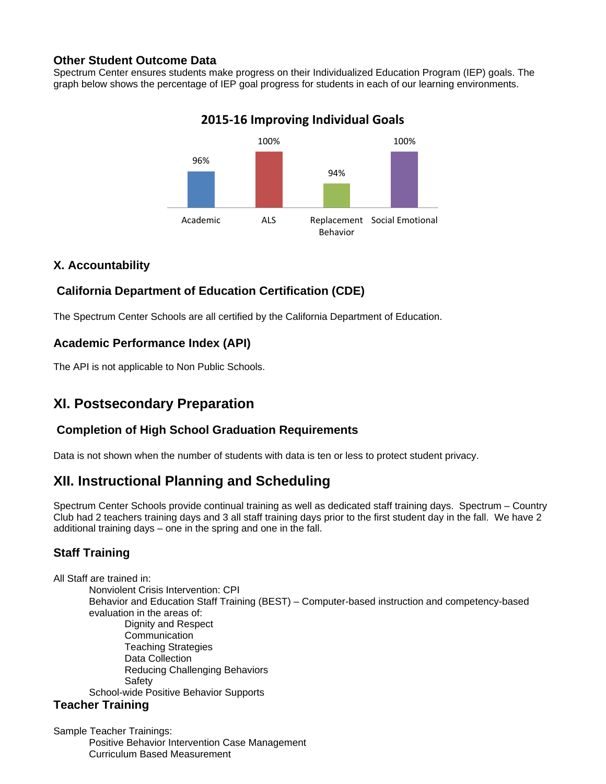### **Other Student Outcome Data**

Spectrum Center ensures students make progress on their Individualized Education Program (IEP) goals. The graph below shows the percentage of IEP goal progress for students in each of our learning environments.



# **2015‐16 Improving Individual Goals**

### **X. Accountability**

### **California Department of Education Certification (CDE)**

The Spectrum Center Schools are all certified by the California Department of Education.

### **Academic Performance Index (API)**

The API is not applicable to Non Public Schools.

# **XI. Postsecondary Preparation**

### **Completion of High School Graduation Requirements**

Data is not shown when the number of students with data is ten or less to protect student privacy.

# **XII. Instructional Planning and Scheduling**

Spectrum Center Schools provide continual training as well as dedicated staff training days. Spectrum – Country Club had 2 teachers training days and 3 all staff training days prior to the first student day in the fall. We have 2 additional training days – one in the spring and one in the fall.

### **Staff Training**

All Staff are trained in: Nonviolent Crisis Intervention: CPI Behavior and Education Staff Training (BEST) – Computer-based instruction and competency-based evaluation in the areas of: Dignity and Respect **Communication** Teaching Strategies Data Collection Reducing Challenging Behaviors Safety School-wide Positive Behavior Supports **Teacher Training** 

Sample Teacher Trainings: Positive Behavior Intervention Case Management Curriculum Based Measurement